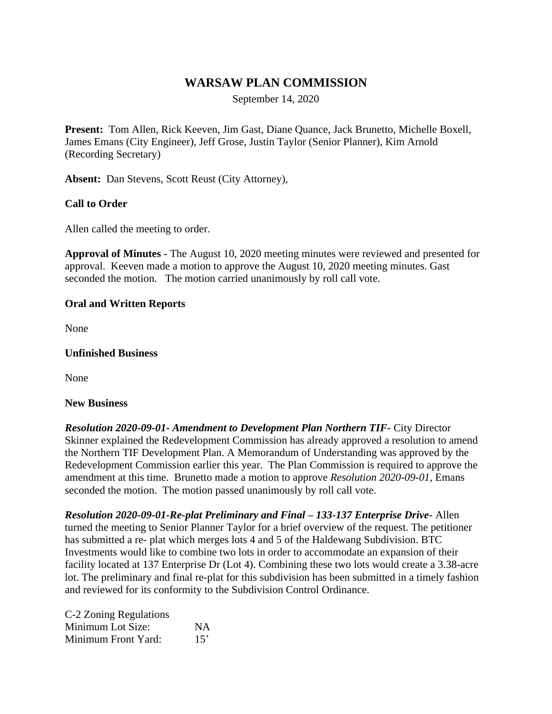# **WARSAW PLAN COMMISSION**

September 14, 2020

**Present:** Tom Allen, Rick Keeven, Jim Gast, Diane Quance, Jack Brunetto, Michelle Boxell, James Emans (City Engineer), Jeff Grose, Justin Taylor (Senior Planner), Kim Arnold (Recording Secretary)

**Absent:** Dan Stevens, Scott Reust (City Attorney),

# **Call to Order**

Allen called the meeting to order.

**Approval of Minutes -** The August 10, 2020 meeting minutes were reviewed and presented for approval. Keeven made a motion to approve the August 10, 2020 meeting minutes. Gast seconded the motion. The motion carried unanimously by roll call vote.

## **Oral and Written Reports**

None

#### **Unfinished Business**

None

#### **New Business**

*Resolution 2020-09-01- Amendment to Development Plan Northern TIF-* City Director Skinner explained the Redevelopment Commission has already approved a resolution to amend the Northern TIF Development Plan. A Memorandum of Understanding was approved by the Redevelopment Commission earlier this year. The Plan Commission is required to approve the amendment at this time. Brunetto made a motion to approve *Resolution 2020-09-01*, Emans seconded the motion. The motion passed unanimously by roll call vote.

*Resolution 2020-09-01-Re-plat Preliminary and Final – 133-137 Enterprise Drive-* Allen turned the meeting to Senior Planner Taylor for a brief overview of the request. The petitioner has submitted a re- plat which merges lots 4 and 5 of the Haldewang Subdivision. BTC Investments would like to combine two lots in order to accommodate an expansion of their facility located at 137 Enterprise Dr (Lot 4). Combining these two lots would create a 3.38-acre lot. The preliminary and final re-plat for this subdivision has been submitted in a timely fashion and reviewed for its conformity to the Subdivision Control Ordinance.

C-2 Zoning Regulations Minimum Lot Size: NA Minimum Front Yard: 15'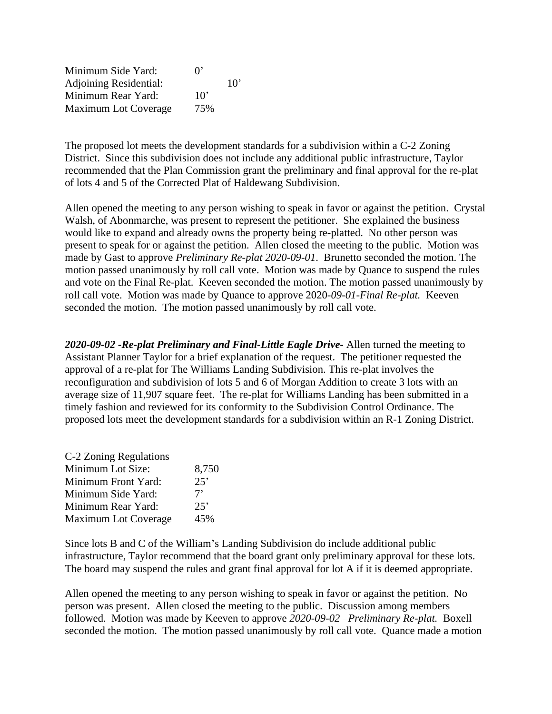Minimum Side Yard: 0' Adjoining Residential: 10' Minimum Rear Yard: 10' Maximum Lot Coverage 75%

The proposed lot meets the development standards for a subdivision within a C-2 Zoning District. Since this subdivision does not include any additional public infrastructure, Taylor recommended that the Plan Commission grant the preliminary and final approval for the re-plat of lots 4 and 5 of the Corrected Plat of Haldewang Subdivision.

Allen opened the meeting to any person wishing to speak in favor or against the petition. Crystal Walsh, of Abonmarche, was present to represent the petitioner. She explained the business would like to expand and already owns the property being re-platted. No other person was present to speak for or against the petition. Allen closed the meeting to the public. Motion was made by Gast to approve *Preliminary Re-plat 2020-09-01*. Brunetto seconded the motion. The motion passed unanimously by roll call vote. Motion was made by Quance to suspend the rules and vote on the Final Re-plat. Keeven seconded the motion. The motion passed unanimously by roll call vote. Motion was made by Quance to approve 2020*-09-01-Final Re-plat.* Keeven seconded the motion. The motion passed unanimously by roll call vote.

*2020-09-02 -Re-plat Preliminary and Final-Little Eagle Drive-* Allen turned the meeting to Assistant Planner Taylor for a brief explanation of the request. The petitioner requested the approval of a re-plat for The Williams Landing Subdivision. This re-plat involves the reconfiguration and subdivision of lots 5 and 6 of Morgan Addition to create 3 lots with an average size of 11,907 square feet. The re-plat for Williams Landing has been submitted in a timely fashion and reviewed for its conformity to the Subdivision Control Ordinance. The proposed lots meet the development standards for a subdivision within an R-1 Zoning District.

| C-2 Zoning Regulations      |       |
|-----------------------------|-------|
| Minimum Lot Size:           | 8,750 |
| Minimum Front Yard:         | 25'   |
| Minimum Side Yard:          | 7'    |
| Minimum Rear Yard:          | 25'   |
| <b>Maximum Lot Coverage</b> | 45%   |

Since lots B and C of the William's Landing Subdivision do include additional public infrastructure, Taylor recommend that the board grant only preliminary approval for these lots. The board may suspend the rules and grant final approval for lot A if it is deemed appropriate.

Allen opened the meeting to any person wishing to speak in favor or against the petition. No person was present. Allen closed the meeting to the public. Discussion among members followed. Motion was made by Keeven to approve *2020-09-02 –Preliminary Re-plat.* Boxell seconded the motion. The motion passed unanimously by roll call vote. Quance made a motion